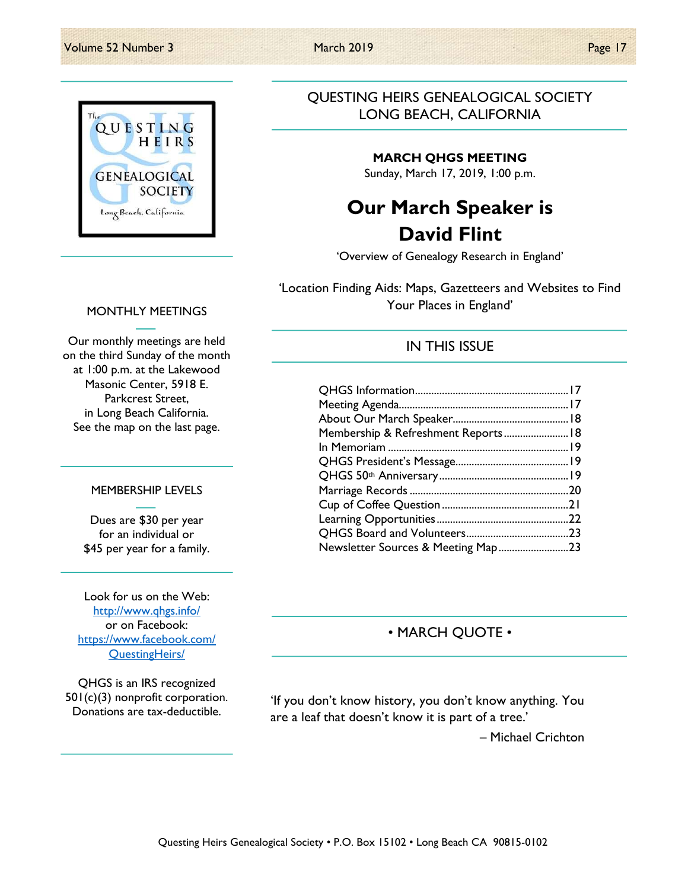

### QUESTING HEIRS GENEALOGICAL SOCIETY LONG BEACH, CALIFORNIA

### MARCH QHGS MEETING

Sunday, March 17, 2019, 1:00 p.m.

# Our March Speaker is David Flint

'Overview of Genealogy Research in England'

'Location Finding Aids: Maps, Gazetteers and Websites to Find Your Places in England'

IN THIS ISSUE

### QHGS Information ......................................................... 17 Meeting Agenda............................................................... 17 About Our March Speaker........................................... 18 Membership & Refreshment Reports ........................ 18 In Memoriam ................................................................... 19 QHGS President's Message.......................................... 19 QHGS 50th Anniversary ................................................ 19 Marriage Records ........................................................... 20 Cup of Coffee Question ............................................... 21 Learning Opportunities ................................................. 22 QHGS Board and Volunteers ...................................... 23 Newsletter Sources & Meeting Map .......................... 23

### • MARCH QUOTE •

'If you don't know history, you don't know anything. You are a leaf that doesn't know it is part of a tree.'

– Michael Crichton

### MONTHLY MEETINGS

Our monthly meetings are held on the third Sunday of the month at 1:00 p.m. at the Lakewood Masonic Center, 5918 E. Parkcrest Street, in Long Beach California. See the map on the last page.

### MEMBERSHIP LEVELS

Dues are \$30 per year for an individual or \$45 per year for a family.

Look for us on the Web: http://www.qhgs.info/ or on Facebook: https://www.facebook.com/ QuestingHeirs/

QHGS is an IRS recognized 501(c)(3) nonprofit corporation. Donations are tax-deductible.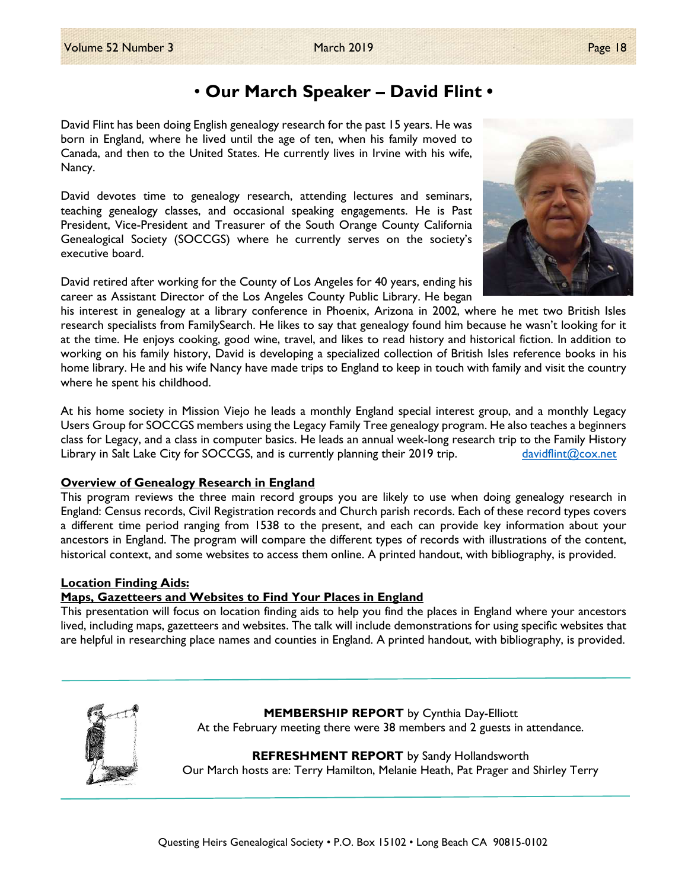# • Our March Speaker – David Flint •

David Flint has been doing English genealogy research for the past 15 years. He was born in England, where he lived until the age of ten, when his family moved to Canada, and then to the United States. He currently lives in Irvine with his wife, Nancy.

David devotes time to genealogy research, attending lectures and seminars, teaching genealogy classes, and occasional speaking engagements. He is Past President, Vice-President and Treasurer of the South Orange County California Genealogical Society (SOCCGS) where he currently serves on the society's executive board.

David retired after working for the County of Los Angeles for 40 years, ending his career as Assistant Director of the Los Angeles County Public Library. He began

his interest in genealogy at a library conference in Phoenix, Arizona in 2002, where he met two British Isles research specialists from FamilySearch. He likes to say that genealogy found him because he wasn't looking for it at the time. He enjoys cooking, good wine, travel, and likes to read history and historical fiction. In addition to working on his family history, David is developing a specialized collection of British Isles reference books in his home library. He and his wife Nancy have made trips to England to keep in touch with family and visit the country where he spent his childhood.

At his home society in Mission Viejo he leads a monthly England special interest group, and a monthly Legacy Users Group for SOCCGS members using the Legacy Family Tree genealogy program. He also teaches a beginners class for Legacy, and a class in computer basics. He leads an annual week-long research trip to the Family History Library in Salt Lake City for SOCCGS, and is currently planning their 2019 trip.  $\frac{d\text{avoidlimit@cov.net}}{d\text{avoidlimit@cov.net}}$ 

### Overview of Genealogy Research in England

This program reviews the three main record groups you are likely to use when doing genealogy research in England: Census records, Civil Registration records and Church parish records. Each of these record types covers a different time period ranging from 1538 to the present, and each can provide key information about your ancestors in England. The program will compare the different types of records with illustrations of the content, historical context, and some websites to access them online. A printed handout, with bibliography, is provided.

### Location Finding Aids:

### Maps, Gazetteers and Websites to Find Your Places in England

This presentation will focus on location finding aids to help you find the places in England where your ancestors lived, including maps, gazetteers and websites. The talk will include demonstrations for using specific websites that are helpful in researching place names and counties in England. A printed handout, with bibliography, is provided.



MEMBERSHIP REPORT by Cynthia Day-Elliott At the February meeting there were 38 members and 2 guests in attendance.

**REFRESHMENT REPORT** by Sandy Hollandsworth Our March hosts are: Terry Hamilton, Melanie Heath, Pat Prager and Shirley Terry

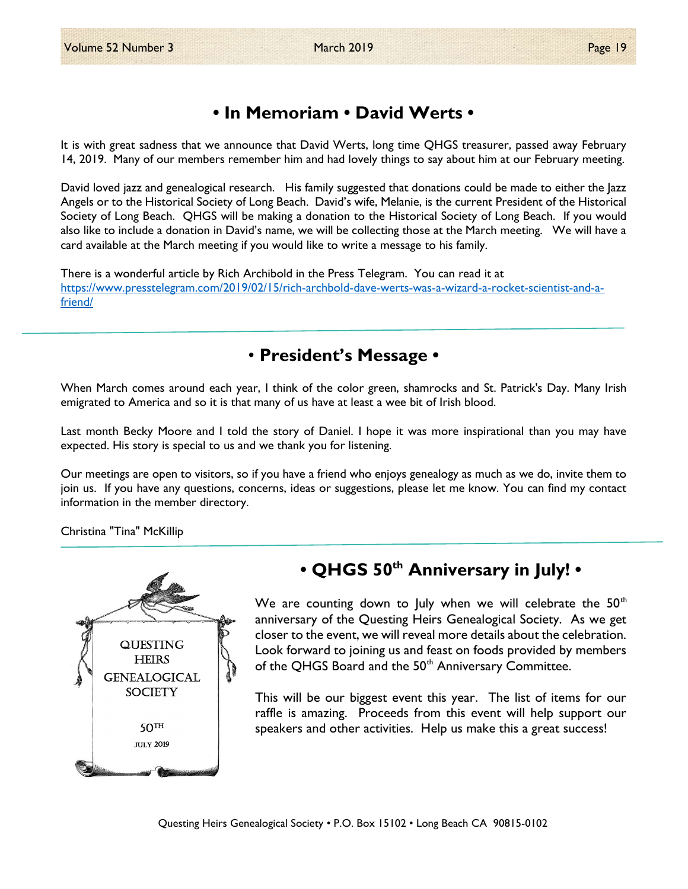# • In Memoriam • David Werts •

It is with great sadness that we announce that David Werts, long time QHGS treasurer, passed away February 14, 2019. Many of our members remember him and had lovely things to say about him at our February meeting.

David loved jazz and genealogical research. His family suggested that donations could be made to either the Jazz Angels or to the Historical Society of Long Beach. David's wife, Melanie, is the current President of the Historical Society of Long Beach. QHGS will be making a donation to the Historical Society of Long Beach. If you would also like to include a donation in David's name, we will be collecting those at the March meeting. We will have a card available at the March meeting if you would like to write a message to his family.

There is a wonderful article by Rich Archibold in the Press Telegram. You can read it at https://www.presstelegram.com/2019/02/15/rich-archbold-dave-werts-was-a-wizard-a-rocket-scientist-and-afriend/

# • President's Message •

When March comes around each year, I think of the color green, shamrocks and St. Patrick's Day. Many Irish emigrated to America and so it is that many of us have at least a wee bit of Irish blood.

Last month Becky Moore and I told the story of Daniel. I hope it was more inspirational than you may have expected. His story is special to us and we thank you for listening.

Our meetings are open to visitors, so if you have a friend who enjoys genealogy as much as we do, invite them to join us. If you have any questions, concerns, ideas or suggestions, please let me know. You can find my contact information in the member directory.

Christina "Tina" McKillip



# • QHGS 50<sup>th</sup> Anniversary in July! •

We are counting down to July when we will celebrate the  $50<sup>th</sup>$ anniversary of the Questing Heirs Genealogical Society. As we get closer to the event, we will reveal more details about the celebration. Look forward to joining us and feast on foods provided by members of the QHGS Board and the 50<sup>th</sup> Anniversary Committee.

This will be our biggest event this year. The list of items for our  $50<sup>TH</sup>$  raffle is amazing. Proceeds from this event will help support our speakers and other activities. Help us make this a great success! speakers and other activities. Help us make this a great success!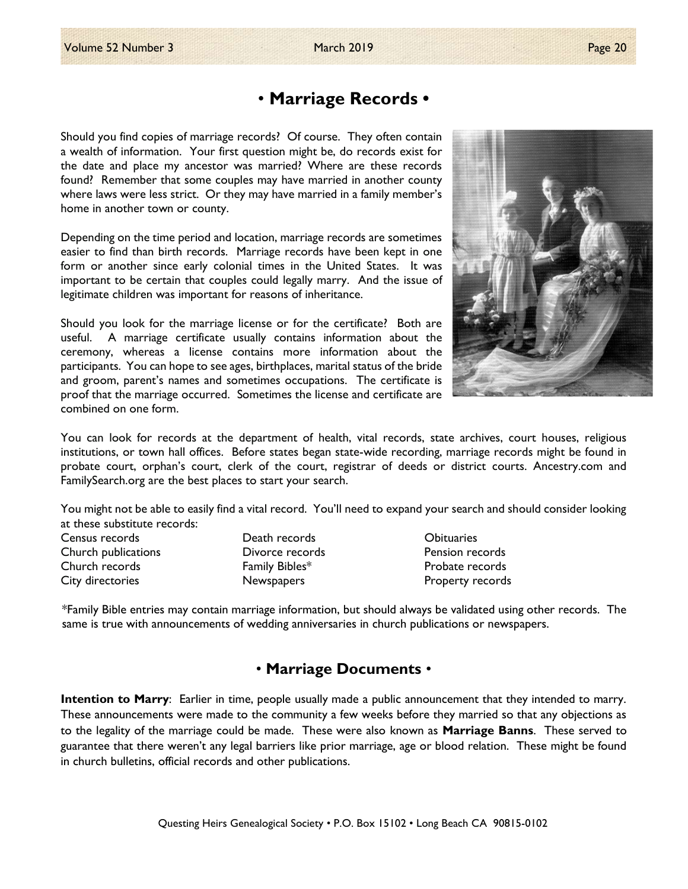Should you find copies of marriage records? Of course. They often contain a wealth of information. Your first question might be, do records exist for the date and place my ancestor was married? Where are these records found? Remember that some couples may have married in another county where laws were less strict. Or they may have married in a family member's home in another town or county.

Depending on the time period and location, marriage records are sometimes easier to find than birth records. Marriage records have been kept in one form or another since early colonial times in the United States. It was important to be certain that couples could legally marry. And the issue of legitimate children was important for reasons of inheritance.

Should you look for the marriage license or for the certificate? Both are useful. A marriage certificate usually contains information about the ceremony, whereas a license contains more information about the participants. You can hope to see ages, birthplaces, marital status of the bride and groom, parent's names and sometimes occupations. The certificate is proof that the marriage occurred. Sometimes the license and certificate are combined on one form.

You can look for records at the department of health, vital records, state archives, court houses, religious institutions, or town hall offices. Before states began state-wide recording, marriage records might be found in probate court, orphan's court, clerk of the court, registrar of deeds or district courts. Ancestry.com and FamilySearch.org are the best places to start your search.

You might not be able to easily find a vital record. You'll need to expand your search and should consider looking at these substitute records:

Census records Death records Obituaries Church publications Divorce records Pension records Church records Family Bibles\* Probate records City directories Newspapers Property records

\*Family Bible entries may contain marriage information, but should always be validated using other records. The same is true with announcements of wedding anniversaries in church publications or newspapers.

### • Marriage Documents •

Intention to Marry: Earlier in time, people usually made a public announcement that they intended to marry. These announcements were made to the community a few weeks before they married so that any objections as to the legality of the marriage could be made. These were also known as **Marriage Banns**. These served to guarantee that there weren't any legal barriers like prior marriage, age or blood relation. These might be found in church bulletins, official records and other publications.

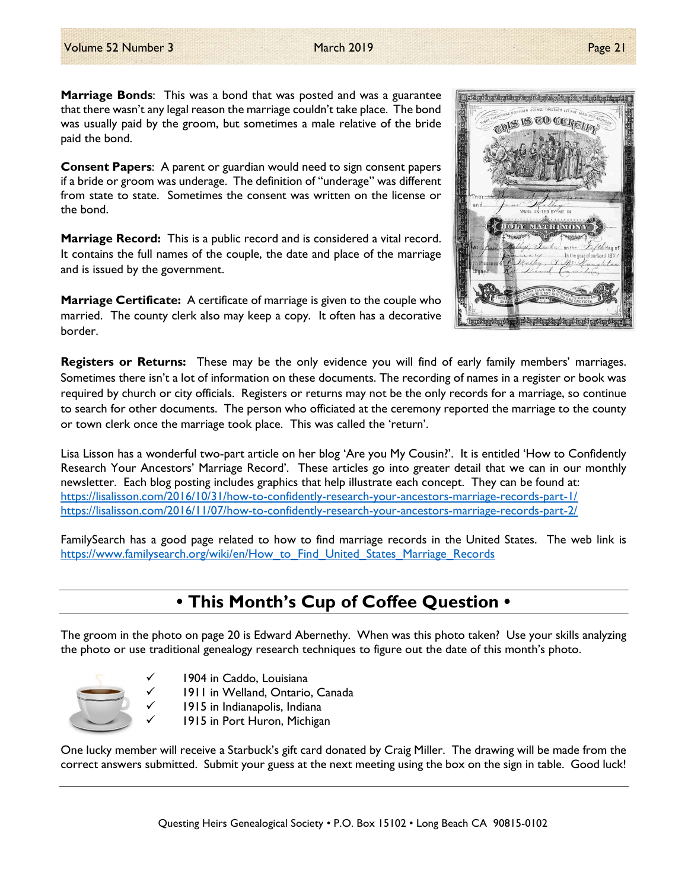Marriage Bonds: This was a bond that was posted and was a guarantee that there wasn't any legal reason the marriage couldn't take place. The bond was usually paid by the groom, but sometimes a male relative of the bride paid the bond.

Consent Papers: A parent or guardian would need to sign consent papers if a bride or groom was underage. The definition of "underage" was different from state to state. Sometimes the consent was written on the license or the bond.

Marriage Record: This is a public record and is considered a vital record. It contains the full names of the couple, the date and place of the marriage and is issued by the government.

**Marriage Certificate:** A certificate of marriage is given to the couple who married. The county clerk also may keep a copy. It often has a decorative border.



**Registers or Returns:** These may be the only evidence you will find of early family members' marriages. Sometimes there isn't a lot of information on these documents. The recording of names in a register or book was required by church or city officials. Registers or returns may not be the only records for a marriage, so continue to search for other documents. The person who officiated at the ceremony reported the marriage to the county or town clerk once the marriage took place. This was called the 'return'.

Lisa Lisson has a wonderful two-part article on her blog 'Are you My Cousin?'. It is entitled 'How to Confidently Research Your Ancestors' Marriage Record'. These articles go into greater detail that we can in our monthly newsletter. Each blog posting includes graphics that help illustrate each concept. They can be found at: https://lisalisson.com/2016/10/31/how-to-confidently-research-your-ancestors-marriage-records-part-1/ https://lisalisson.com/2016/11/07/how-to-confidently-research-your-ancestors-marriage-records-part-2/

FamilySearch has a good page related to how to find marriage records in the United States. The web link is https://www.familysearch.org/wiki/en/How to Find United States Marriage Records

# • This Month's Cup of Coffee Question •

The groom in the photo on page 20 is Edward Abernethy. When was this photo taken? Use your skills analyzing the photo or use traditional genealogy research techniques to figure out the date of this month's photo.



- 1904 in Caddo, Louisiana
- 1911 in Welland, Ontario, Canada
- 1915 in Indianapolis, Indiana
	- 1915 in Port Huron, Michigan

One lucky member will receive a Starbuck's gift card donated by Craig Miller. The drawing will be made from the correct answers submitted. Submit your guess at the next meeting using the box on the sign in table. Good luck!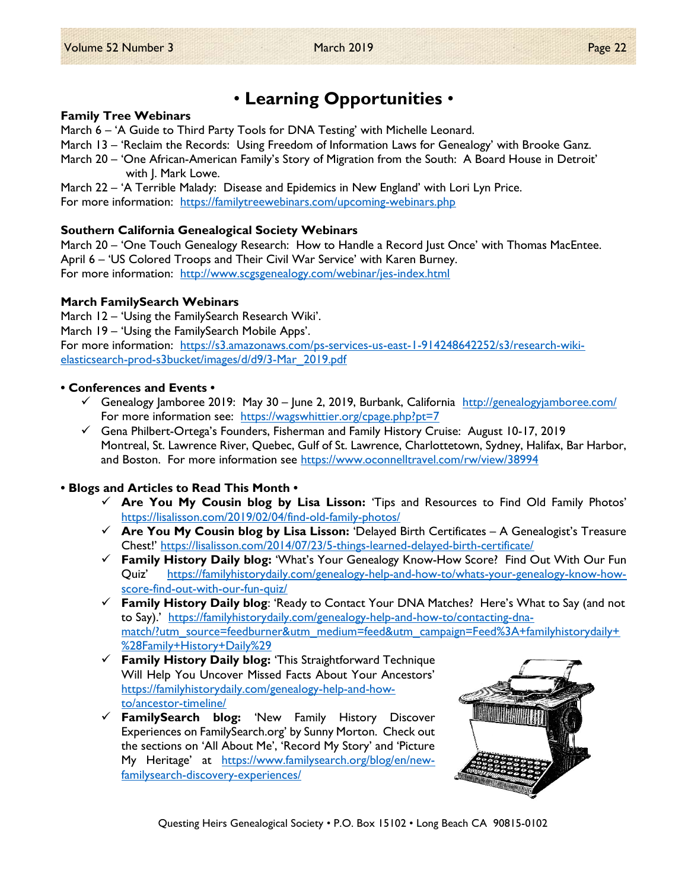# • Learning Opportunities •

### Family Tree Webinars

March 6 – 'A Guide to Third Party Tools for DNA Testing' with Michelle Leonard.

March 13 – 'Reclaim the Records: Using Freedom of Information Laws for Genealogy' with Brooke Ganz.

March 20 – 'One African-American Family's Story of Migration from the South: A Board House in Detroit' with J. Mark Lowe.

March 22 – 'A Terrible Malady: Disease and Epidemics in New England' with Lori Lyn Price. For more information: https://familytreewebinars.com/upcoming-webinars.php

### Southern California Genealogical Society Webinars

March 20 – 'One Touch Genealogy Research: How to Handle a Record Just Once' with Thomas MacEntee. April 6 – 'US Colored Troops and Their Civil War Service' with Karen Burney. For more information: http://www.scgsgenealogy.com/webinar/jes-index.html

### March FamilySearch Webinars

March 12 – 'Using the FamilySearch Research Wiki'.

March 19 – 'Using the FamilySearch Mobile Apps'.

For more information: https://s3.amazonaws.com/ps-services-us-east-1-914248642252/s3/research-wikielasticsearch-prod-s3bucket/images/d/d9/3-Mar\_2019.pdf

### • Conferences and Events •

- $\checkmark$  Genealogy Jamboree 2019: May 30 June 2, 2019, Burbank, California http://genealogyjamboree.com/ For more information see: https://wagswhittier.org/cpage.php?pt=7
- Gena Philbert-Ortega's Founders, Fisherman and Family History Cruise: August 10-17, 2019 Montreal, St. Lawrence River, Quebec, Gulf of St. Lawrence, Charlottetown, Sydney, Halifax, Bar Harbor, and Boston. For more information see https://www.oconnelltravel.com/rw/view/38994

### • Blogs and Articles to Read This Month •

- $\checkmark$  Are You My Cousin blog by Lisa Lisson: 'Tips and Resources to Find Old Family Photos' https://lisalisson.com/2019/02/04/find-old-family-photos/
- $\checkmark$  Are You My Cousin blog by Lisa Lisson: 'Delayed Birth Certificates A Genealogist's Treasure Chest!' https://lisalisson.com/2014/07/23/5-things-learned-delayed-birth-certificate/
- $\checkmark$  Family History Daily blog: 'What's Your Genealogy Know-How Score! Find Out With Our Fun Quiz' https://familyhistorydaily.com/genealogy-help-and-how-to/whats-your-genealogy-know-howscore-find-out-with-our-fun-quiz/
- $\checkmark$  Family History Daily blog: 'Ready to Contact Your DNA Matches? Here's What to Say (and not to Say).' https://familyhistorydaily.com/genealogy-help-and-how-to/contacting-dnamatch/?utm\_source=feedburner&utm\_medium=feed&utm\_campaign=Feed%3A+familyhistorydaily+ %28Family+History+Daily%29
- $\checkmark$  Family History Daily blog: 'This Straightforward Technique Will Help You Uncover Missed Facts About Your Ancestors' https://familyhistorydaily.com/genealogy-help-and-howto/ancestor-timeline/
- $\checkmark$  FamilySearch blog: 'New Family History Discover Experiences on FamilySearch.org' by Sunny Morton. Check out the sections on 'All About Me', 'Record My Story' and 'Picture My Heritage' at https://www.familysearch.org/blog/en/newfamilysearch-discovery-experiences/



Questing Heirs Genealogical Society • P.O. Box 15102 • Long Beach CA 90815-0102